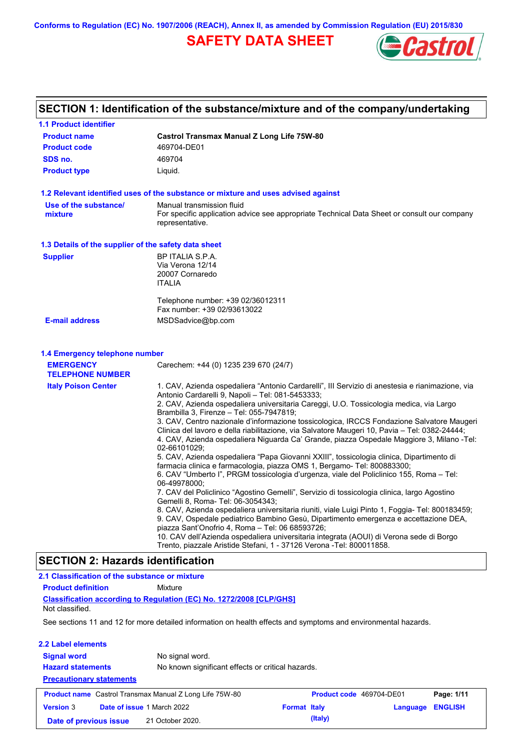**Conforms to Regulation (EC) No. 1907/2006 (REACH), Annex II, as amended by Commission Regulation (EU) 2015/830**

## **SAFETY DATA SHEET**



# **SECTION 1: Identification of the substance/mixture and of the company/undertaking**

| <b>1.1 Product identifier</b>                        |                                                                                                                                                                                                                                                                                                                                                                                                                                                                                                                                                                                                                                                                                                                                                                                                                                                                        |
|------------------------------------------------------|------------------------------------------------------------------------------------------------------------------------------------------------------------------------------------------------------------------------------------------------------------------------------------------------------------------------------------------------------------------------------------------------------------------------------------------------------------------------------------------------------------------------------------------------------------------------------------------------------------------------------------------------------------------------------------------------------------------------------------------------------------------------------------------------------------------------------------------------------------------------|
| <b>Product name</b>                                  | <b>Castrol Transmax Manual Z Long Life 75W-80</b>                                                                                                                                                                                                                                                                                                                                                                                                                                                                                                                                                                                                                                                                                                                                                                                                                      |
| <b>Product code</b>                                  | 469704-DE01                                                                                                                                                                                                                                                                                                                                                                                                                                                                                                                                                                                                                                                                                                                                                                                                                                                            |
| SDS no.                                              | 469704                                                                                                                                                                                                                                                                                                                                                                                                                                                                                                                                                                                                                                                                                                                                                                                                                                                                 |
| <b>Product type</b>                                  | Liquid.                                                                                                                                                                                                                                                                                                                                                                                                                                                                                                                                                                                                                                                                                                                                                                                                                                                                |
|                                                      | 1.2 Relevant identified uses of the substance or mixture and uses advised against                                                                                                                                                                                                                                                                                                                                                                                                                                                                                                                                                                                                                                                                                                                                                                                      |
| Use of the substance/<br>mixture                     | Manual transmission fluid<br>For specific application advice see appropriate Technical Data Sheet or consult our company<br>representative.                                                                                                                                                                                                                                                                                                                                                                                                                                                                                                                                                                                                                                                                                                                            |
| 1.3 Details of the supplier of the safety data sheet |                                                                                                                                                                                                                                                                                                                                                                                                                                                                                                                                                                                                                                                                                                                                                                                                                                                                        |
| <b>Supplier</b>                                      | BP ITALIA S.P.A.<br>Via Verona 12/14<br>20007 Cornaredo<br><b>ITALIA</b>                                                                                                                                                                                                                                                                                                                                                                                                                                                                                                                                                                                                                                                                                                                                                                                               |
|                                                      | Telephone number: +39 02/36012311<br>Fax number: +39 02/93613022                                                                                                                                                                                                                                                                                                                                                                                                                                                                                                                                                                                                                                                                                                                                                                                                       |
| <b>E-mail address</b>                                | MSDSadvice@bp.com                                                                                                                                                                                                                                                                                                                                                                                                                                                                                                                                                                                                                                                                                                                                                                                                                                                      |
| <b>TELEPHONE NUMBER</b>                              | Carechem: +44 (0) 1235 239 670 (24/7)                                                                                                                                                                                                                                                                                                                                                                                                                                                                                                                                                                                                                                                                                                                                                                                                                                  |
| <b>Italy Poison Center</b>                           | 1. CAV, Azienda ospedaliera "Antonio Cardarelli", III Servizio di anestesia e rianimazione, via<br>Antonio Cardarelli 9, Napoli - Tel: 081-5453333;<br>2. CAV, Azienda ospedaliera universitaria Careggi, U.O. Tossicologia medica, via Largo<br>Brambilla 3, Firenze - Tel: 055-7947819;<br>3. CAV, Centro nazionale d'informazione tossicologica, IRCCS Fondazione Salvatore Maugeri<br>Clinica del lavoro e della riabilitazione, via Salvatore Maugeri 10, Pavia – Tel: 0382-24444;<br>4. CAV, Azienda ospedaliera Niguarda Ca' Grande, piazza Ospedale Maggiore 3, Milano -Tel:<br>02-66101029;<br>5. CAV, Azienda ospedaliera "Papa Giovanni XXIII", tossicologia clinica, Dipartimento di<br>farmacia clinica e farmacologia, piazza OMS 1, Bergamo- Tel: 800883300;<br>6. CAV "Umberto I", PRGM tossicologia d'urgenza, viale del Policlinico 155, Roma – Tel: |
|                                                      | 06-49978000;<br>7. CAV del Policlinico "Agostino Gemelli", Servizio di tossicologia clinica, largo Agostino<br>Gemelli 8, Roma- Tel: 06-3054343;                                                                                                                                                                                                                                                                                                                                                                                                                                                                                                                                                                                                                                                                                                                       |
|                                                      | 8. CAV, Azienda ospedaliera universitaria riuniti, viale Luigi Pinto 1, Foggia- Tel: 800183459;<br>9. CAV, Ospedale pediatrico Bambino Gesù, Dipartimento emergenza e accettazione DEA,<br>piazza Sant'Onofrio 4, Roma - Tel: 06 68593726;<br>10. CAV dell'Azienda ospedaliera universitaria integrata (AOUI) di Verona sede di Borgo<br>Trento, piazzale Aristide Stefani, 1 - 37126 Verona -Tel: 800011858.                                                                                                                                                                                                                                                                                                                                                                                                                                                          |
| <b>SECTION 2: Hazards identification</b>             |                                                                                                                                                                                                                                                                                                                                                                                                                                                                                                                                                                                                                                                                                                                                                                                                                                                                        |
| 2.1 Classification of the substance or mixture       |                                                                                                                                                                                                                                                                                                                                                                                                                                                                                                                                                                                                                                                                                                                                                                                                                                                                        |
| <b>Product definition</b>                            | Mixture                                                                                                                                                                                                                                                                                                                                                                                                                                                                                                                                                                                                                                                                                                                                                                                                                                                                |
|                                                      | <b>Classification according to Regulation (EC) No. 1272/2008 [CLP/GHS]</b>                                                                                                                                                                                                                                                                                                                                                                                                                                                                                                                                                                                                                                                                                                                                                                                             |

Not classified.

 $\mathsf{l}$ 

See sections 11 and 12 for more detailed information on health effects and symptoms and environmental hazards.

| 2.2 Label elements                                          |                            |                                                                |                     |                          |          |                |
|-------------------------------------------------------------|----------------------------|----------------------------------------------------------------|---------------------|--------------------------|----------|----------------|
| <b>Signal word</b>                                          |                            | No signal word.                                                |                     |                          |          |                |
| <b>Hazard statements</b><br><b>Precautionary statements</b> |                            | No known significant effects or critical hazards.              |                     |                          |          |                |
|                                                             |                            | <b>Product name</b> Castrol Transmax Manual Z Long Life 75W-80 |                     | Product code 469704-DE01 |          | Page: 1/11     |
| <b>Version 3</b>                                            | Date of issue 1 March 2022 |                                                                | <b>Format Italy</b> |                          | Language | <b>ENGLISH</b> |
| Date of previous issue                                      |                            | 21 October 2020.                                               |                     | (Italy)                  |          |                |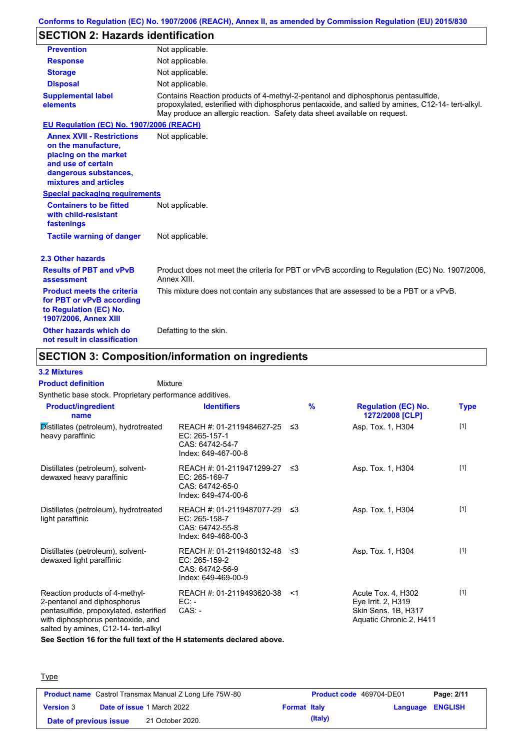## **SECTION 2: Hazards identification**

| <b>Prevention</b>                                                                                                                                        | Not applicable.                                                                                                                                                                                                                                                   |
|----------------------------------------------------------------------------------------------------------------------------------------------------------|-------------------------------------------------------------------------------------------------------------------------------------------------------------------------------------------------------------------------------------------------------------------|
| <b>Response</b>                                                                                                                                          | Not applicable.                                                                                                                                                                                                                                                   |
| <b>Storage</b>                                                                                                                                           | Not applicable.                                                                                                                                                                                                                                                   |
| <b>Disposal</b>                                                                                                                                          | Not applicable.                                                                                                                                                                                                                                                   |
| <b>Supplemental label</b><br>elements                                                                                                                    | Contains Reaction products of 4-methyl-2-pentanol and diphosphorus pentasulfide,<br>propoxylated, esterified with diphosphorus pentaoxide, and salted by amines, C12-14- tert-alkyl.<br>May produce an allergic reaction. Safety data sheet available on request. |
| EU Regulation (EC) No. 1907/2006 (REACH)                                                                                                                 |                                                                                                                                                                                                                                                                   |
| <b>Annex XVII - Restrictions</b><br>on the manufacture.<br>placing on the market<br>and use of certain<br>dangerous substances,<br>mixtures and articles | Not applicable.                                                                                                                                                                                                                                                   |
| <b>Special packaging requirements</b>                                                                                                                    |                                                                                                                                                                                                                                                                   |
| <b>Containers to be fitted</b><br>with child-resistant<br>fastenings                                                                                     | Not applicable.                                                                                                                                                                                                                                                   |
| <b>Tactile warning of danger</b>                                                                                                                         | Not applicable.                                                                                                                                                                                                                                                   |
| 2.3 Other hazards                                                                                                                                        |                                                                                                                                                                                                                                                                   |
| <b>Results of PBT and vPvB</b><br>assessment                                                                                                             | Product does not meet the criteria for PBT or vPvB according to Regulation (EC) No. 1907/2006,<br>Annex XIII.                                                                                                                                                     |
| <b>Product meets the criteria</b><br>for PBT or vPvB according<br>to Regulation (EC) No.<br><b>1907/2006, Annex XIII</b>                                 | This mixture does not contain any substances that are assessed to be a PBT or a vPvB.                                                                                                                                                                             |
| Other hazards which do<br>not result in classification                                                                                                   | Defatting to the skin.                                                                                                                                                                                                                                            |

## **SECTION 3: Composition/information on ingredients**

#### **3.2 Mixtures**

Mixture **Product definition**

Synthetic base stock. Proprietary performance additives.

| <b>Product/ingredient</b><br>name                                                                                                                                                    | <b>Identifiers</b>                                                                      |       | $\frac{9}{6}$ | <b>Regulation (EC) No.</b><br>1272/2008 [CLP]                                              | Type  |
|--------------------------------------------------------------------------------------------------------------------------------------------------------------------------------------|-----------------------------------------------------------------------------------------|-------|---------------|--------------------------------------------------------------------------------------------|-------|
| Distillates (petroleum), hydrotreated<br>heavy paraffinic                                                                                                                            | REACH #: 01-2119484627-25<br>EC: 265-157-1<br>CAS: 64742-54-7<br>Index: 649-467-00-8    | ึ ≤3  |               | Asp. Tox. 1, H304                                                                          | $[1]$ |
| Distillates (petroleum), solvent-<br>dewaxed heavy paraffinic                                                                                                                        | REACH #: 01-2119471299-27<br>EC: 265-169-7<br>CAS: 64742-65-0<br>Index: 649-474-00-6    | -≤3   |               | Asp. Tox. 1, H304                                                                          | $[1]$ |
| Distillates (petroleum), hydrotreated<br>light paraffinic                                                                                                                            | REACH #: 01-2119487077-29<br>EC: 265-158-7<br>CAS: 64742-55-8<br>Index: 649-468-00-3    | -≤3   |               | Asp. Tox. 1, H304                                                                          | $[1]$ |
| Distillates (petroleum), solvent-<br>dewaxed light paraffinic                                                                                                                        | REACH #: 01-2119480132-48 ≤3<br>EC: 265-159-2<br>CAS: 64742-56-9<br>Index: 649-469-00-9 |       |               | Asp. Tox. 1, H304                                                                          | $[1]$ |
| Reaction products of 4-methyl-<br>2-pentanol and diphosphorus<br>pentasulfide, propoxylated, esterified<br>with diphosphorus pentaoxide, and<br>salted by amines, C12-14- tert-alkyl | REACH #: 01-2119493620-38<br>EC: -<br>$CAS: -$                                          | $<$ 1 |               | Acute Tox. 4, H302<br>Eye Irrit. 2, H319<br>Skin Sens. 1B, H317<br>Aquatic Chronic 2, H411 | $[1]$ |

**See Section 16 for the full text of the H statements declared above.**

| <b>Type</b>            |                                                                |                     |                                 |            |
|------------------------|----------------------------------------------------------------|---------------------|---------------------------------|------------|
|                        | <b>Product name</b> Castrol Transmax Manual Z Long Life 75W-80 |                     | <b>Product code</b> 469704-DE01 | Page: 2/11 |
| <b>Version 3</b>       | <b>Date of issue 1 March 2022</b>                              | <b>Format Italy</b> | Language ENGLISH                |            |
| Date of previous issue | 21 October 2020.                                               | (Italy)             |                                 |            |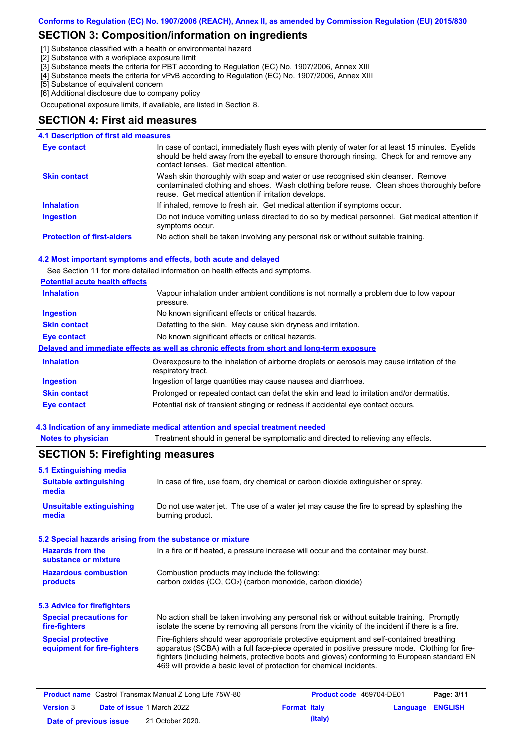## **SECTION 3: Composition/information on ingredients**

[1] Substance classified with a health or environmental hazard

[2] Substance with a workplace exposure limit

[3] Substance meets the criteria for PBT according to Regulation (EC) No. 1907/2006, Annex XIII

[4] Substance meets the criteria for vPvB according to Regulation (EC) No. 1907/2006, Annex XIII

[5] Substance of equivalent concern

[6] Additional disclosure due to company policy

Occupational exposure limits, if available, are listed in Section 8.

## **SECTION 4: First aid measures**

#### **4.1 Description of first aid measures**

| <b>Eye contact</b>                | In case of contact, immediately flush eyes with plenty of water for at least 15 minutes. Eyelids<br>should be held away from the eyeball to ensure thorough rinsing. Check for and remove any<br>contact lenses. Get medical attention. |
|-----------------------------------|-----------------------------------------------------------------------------------------------------------------------------------------------------------------------------------------------------------------------------------------|
| <b>Skin contact</b>               | Wash skin thoroughly with soap and water or use recognised skin cleanser. Remove<br>contaminated clothing and shoes. Wash clothing before reuse. Clean shoes thoroughly before<br>reuse. Get medical attention if irritation develops.  |
| <b>Inhalation</b>                 | If inhaled, remove to fresh air. Get medical attention if symptoms occur.                                                                                                                                                               |
| <b>Ingestion</b>                  | Do not induce vomiting unless directed to do so by medical personnel. Get medical attention if<br>symptoms occur.                                                                                                                       |
| <b>Protection of first-aiders</b> | No action shall be taken involving any personal risk or without suitable training.                                                                                                                                                      |

#### **4.2 Most important symptoms and effects, both acute and delayed**

See Section 11 for more detailed information on health effects and symptoms.

| Vapour inhalation under ambient conditions is not normally a problem due to low vapour<br>pressure.               |
|-------------------------------------------------------------------------------------------------------------------|
| No known significant effects or critical hazards.                                                                 |
| Defatting to the skin. May cause skin dryness and irritation.                                                     |
| No known significant effects or critical hazards.                                                                 |
| Delayed and immediate effects as well as chronic effects from short and long-term exposure                        |
| Overexposure to the inhalation of airborne droplets or aerosols may cause irritation of the<br>respiratory tract. |
| Ingestion of large quantities may cause nausea and diarrhoea.                                                     |
| Prolonged or repeated contact can defat the skin and lead to irritation and/or dermatitis.                        |
|                                                                                                                   |
|                                                                                                                   |

#### **4.3 Indication of any immediate medical attention and special treatment needed**

| <b>Notes to physicia</b> |  |  |  |  |  |  |  |  |
|--------------------------|--|--|--|--|--|--|--|--|
|--------------------------|--|--|--|--|--|--|--|--|

**Rotes 1** Treatment should in general be symptomatic and directed to relieving any effects.

## **SECTION 5: Firefighting measures**

| In case of fire, use foam, dry chemical or carbon dioxide extinguisher or spray.                                                                                                                                                                                                                                                                                  |  |  |
|-------------------------------------------------------------------------------------------------------------------------------------------------------------------------------------------------------------------------------------------------------------------------------------------------------------------------------------------------------------------|--|--|
| <b>Unsuitable extinguishing</b><br>Do not use water jet. The use of a water jet may cause the fire to spread by splashing the<br>burning product.                                                                                                                                                                                                                 |  |  |
| 5.2 Special hazards arising from the substance or mixture                                                                                                                                                                                                                                                                                                         |  |  |
| In a fire or if heated, a pressure increase will occur and the container may burst.                                                                                                                                                                                                                                                                               |  |  |
| Combustion products may include the following:<br>carbon oxides (CO, CO <sub>2</sub> ) (carbon monoxide, carbon dioxide)                                                                                                                                                                                                                                          |  |  |
|                                                                                                                                                                                                                                                                                                                                                                   |  |  |
| No action shall be taken involving any personal risk or without suitable training. Promptly<br>isolate the scene by removing all persons from the vicinity of the incident if there is a fire.                                                                                                                                                                    |  |  |
| Fire-fighters should wear appropriate protective equipment and self-contained breathing<br>apparatus (SCBA) with a full face-piece operated in positive pressure mode. Clothing for fire-<br>fighters (including helmets, protective boots and gloves) conforming to European standard EN<br>469 will provide a basic level of protection for chemical incidents. |  |  |
|                                                                                                                                                                                                                                                                                                                                                                   |  |  |

| <b>Product name</b> Castrol Transmax Manual Z Long Life 75W-80 |  | <b>Product code</b> 469704-DE01   |                     | Page: 3/11 |                         |  |
|----------------------------------------------------------------|--|-----------------------------------|---------------------|------------|-------------------------|--|
| <b>Version 3</b>                                               |  | <b>Date of issue 1 March 2022</b> | <b>Format Italy</b> |            | <b>Language ENGLISH</b> |  |
| Date of previous issue                                         |  | 21 October 2020.                  |                     | (Italy)    |                         |  |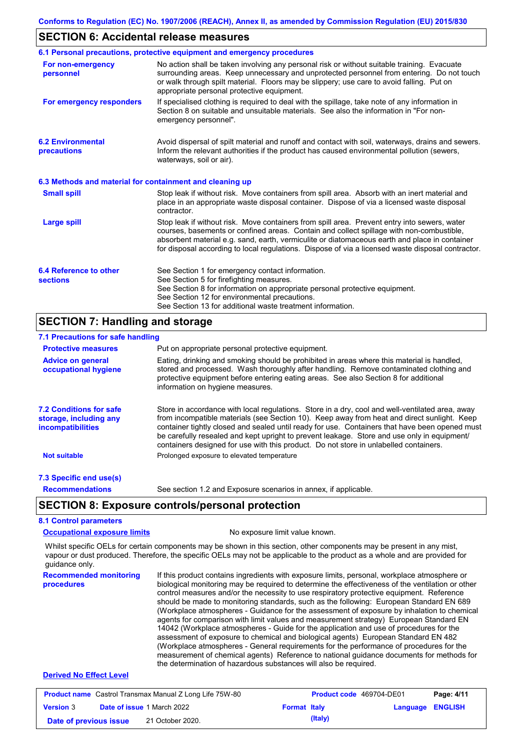### **SECTION 6: Accidental release measures**

|                                                          | 6.1 Personal precautions, protective equipment and emergency procedures                                                                                                                                                                                                                                                                                                                        |
|----------------------------------------------------------|------------------------------------------------------------------------------------------------------------------------------------------------------------------------------------------------------------------------------------------------------------------------------------------------------------------------------------------------------------------------------------------------|
| For non-emergency<br>personnel                           | No action shall be taken involving any personal risk or without suitable training. Evacuate<br>surrounding areas. Keep unnecessary and unprotected personnel from entering. Do not touch<br>or walk through spilt material. Floors may be slippery; use care to avoid falling. Put on<br>appropriate personal protective equipment.                                                            |
| For emergency responders                                 | If specialised clothing is required to deal with the spillage, take note of any information in<br>Section 8 on suitable and unsuitable materials. See also the information in "For non-<br>emergency personnel".                                                                                                                                                                               |
| <b>6.2 Environmental</b><br>precautions                  | Avoid dispersal of spilt material and runoff and contact with soil, waterways, drains and sewers.<br>Inform the relevant authorities if the product has caused environmental pollution (sewers,<br>waterways, soil or air).                                                                                                                                                                    |
| 6.3 Methods and material for containment and cleaning up |                                                                                                                                                                                                                                                                                                                                                                                                |
| <b>Small spill</b>                                       | Stop leak if without risk. Move containers from spill area. Absorb with an inert material and<br>place in an appropriate waste disposal container. Dispose of via a licensed waste disposal<br>contractor.                                                                                                                                                                                     |
| <b>Large spill</b>                                       | Stop leak if without risk. Move containers from spill area. Prevent entry into sewers, water<br>courses, basements or confined areas. Contain and collect spillage with non-combustible,<br>absorbent material e.g. sand, earth, vermiculite or diatomaceous earth and place in container<br>for disposal according to local regulations. Dispose of via a licensed waste disposal contractor. |
| 6.4 Reference to other<br><b>sections</b>                | See Section 1 for emergency contact information.<br>See Section 5 for firefighting measures.<br>See Section 8 for information on appropriate personal protective equipment.<br>See Section 12 for environmental precautions.<br>See Section 13 for additional waste treatment information.                                                                                                     |
| <b>SECTION 7: Handling and storage</b>                   |                                                                                                                                                                                                                                                                                                                                                                                                |

## **7.1 Precautions for safe handling**

| 7.1 Precautions for safe handling                                             |                                                                                                                                                                                                                                                                                                                                                                                                                                                                                          |
|-------------------------------------------------------------------------------|------------------------------------------------------------------------------------------------------------------------------------------------------------------------------------------------------------------------------------------------------------------------------------------------------------------------------------------------------------------------------------------------------------------------------------------------------------------------------------------|
| <b>Protective measures</b>                                                    | Put on appropriate personal protective equipment.                                                                                                                                                                                                                                                                                                                                                                                                                                        |
| <b>Advice on general</b><br>occupational hygiene                              | Eating, drinking and smoking should be prohibited in areas where this material is handled,<br>stored and processed. Wash thoroughly after handling. Remove contaminated clothing and<br>protective equipment before entering eating areas. See also Section 8 for additional<br>information on hygiene measures.                                                                                                                                                                         |
| <b>7.2 Conditions for safe</b><br>storage, including any<br>incompatibilities | Store in accordance with local regulations. Store in a dry, cool and well-ventilated area, away<br>from incompatible materials (see Section 10). Keep away from heat and direct sunlight. Keep<br>container tightly closed and sealed until ready for use. Containers that have been opened must<br>be carefully resealed and kept upright to prevent leakage. Store and use only in equipment/<br>containers designed for use with this product. Do not store in unlabelled containers. |
| <b>Not suitable</b>                                                           | Prolonged exposure to elevated temperature                                                                                                                                                                                                                                                                                                                                                                                                                                               |
| 7.3 Specific end use(s)                                                       |                                                                                                                                                                                                                                                                                                                                                                                                                                                                                          |
| <b>Recommendations</b>                                                        | See section 1.2 and Exposure scenarios in annex, if applicable.                                                                                                                                                                                                                                                                                                                                                                                                                          |
|                                                                               | <b>SECTION 8: Exposure controls/personal protection</b>                                                                                                                                                                                                                                                                                                                                                                                                                                  |
| <b>8.1 Control parameters</b>                                                 |                                                                                                                                                                                                                                                                                                                                                                                                                                                                                          |
| <b>Occupational exposure limits</b>                                           | No exposure limit value known.                                                                                                                                                                                                                                                                                                                                                                                                                                                           |
|                                                                               |                                                                                                                                                                                                                                                                                                                                                                                                                                                                                          |

Whilst specific OELs for certain components may be shown in this section, other components may be present in any mist, vapour or dust produced. Therefore, the specific OELs may not be applicable to the product as a whole and are provided for guidance only.

**Recommended monitoring procedures** If this product contains ingredients with exposure limits, personal, workplace atmosphere or biological monitoring may be required to determine the effectiveness of the ventilation or other control measures and/or the necessity to use respiratory protective equipment. Reference should be made to monitoring standards, such as the following: European Standard EN 689 (Workplace atmospheres - Guidance for the assessment of exposure by inhalation to chemical agents for comparison with limit values and measurement strategy) European Standard EN 14042 (Workplace atmospheres - Guide for the application and use of procedures for the assessment of exposure to chemical and biological agents) European Standard EN 482 (Workplace atmospheres - General requirements for the performance of procedures for the measurement of chemical agents) Reference to national guidance documents for methods for the determination of hazardous substances will also be required.

### **Derived No Effect Level**

| <b>Product name</b> Castrol Transmax Manual Z Long Life 75W-80 |  |                                   | <b>Product code</b> 469704-DE01 |         | Page: 4/11       |  |
|----------------------------------------------------------------|--|-----------------------------------|---------------------------------|---------|------------------|--|
| <b>Version 3</b>                                               |  | <b>Date of issue 1 March 2022</b> | <b>Format Italy</b>             |         | Language ENGLISH |  |
| Date of previous issue                                         |  | 21 October 2020.                  |                                 | (Italy) |                  |  |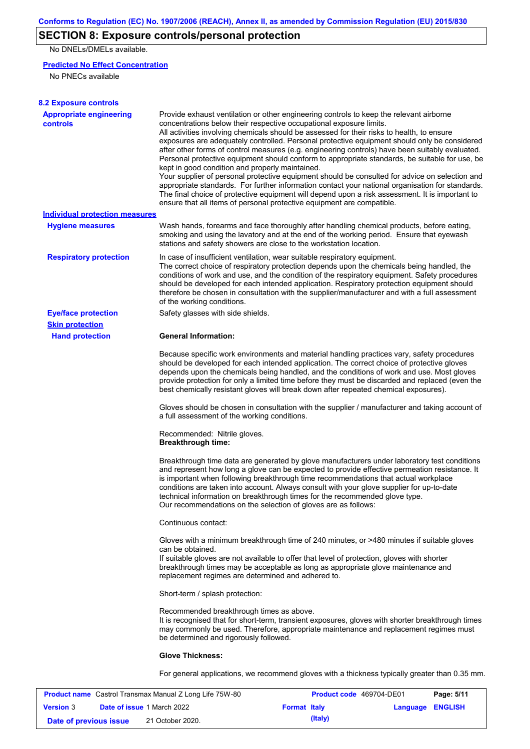## **SECTION 8: Exposure controls/personal protection**

No DNELs/DMELs available.

### **Predicted No Effect Concentration**

No PNECs available

| <b>8.2 Exposure controls</b>                      |                                                                                                                                                                                                                                                                                                                                                                                                                                                                                                                                                                                                                                                                                                                                                                                                                                                                                                                                                                                                         |
|---------------------------------------------------|---------------------------------------------------------------------------------------------------------------------------------------------------------------------------------------------------------------------------------------------------------------------------------------------------------------------------------------------------------------------------------------------------------------------------------------------------------------------------------------------------------------------------------------------------------------------------------------------------------------------------------------------------------------------------------------------------------------------------------------------------------------------------------------------------------------------------------------------------------------------------------------------------------------------------------------------------------------------------------------------------------|
| <b>Appropriate engineering</b><br><b>controls</b> | Provide exhaust ventilation or other engineering controls to keep the relevant airborne<br>concentrations below their respective occupational exposure limits.<br>All activities involving chemicals should be assessed for their risks to health, to ensure<br>exposures are adequately controlled. Personal protective equipment should only be considered<br>after other forms of control measures (e.g. engineering controls) have been suitably evaluated.<br>Personal protective equipment should conform to appropriate standards, be suitable for use, be<br>kept in good condition and properly maintained.<br>Your supplier of personal protective equipment should be consulted for advice on selection and<br>appropriate standards. For further information contact your national organisation for standards.<br>The final choice of protective equipment will depend upon a risk assessment. It is important to<br>ensure that all items of personal protective equipment are compatible. |
| <b>Individual protection measures</b>             |                                                                                                                                                                                                                                                                                                                                                                                                                                                                                                                                                                                                                                                                                                                                                                                                                                                                                                                                                                                                         |
| <b>Hygiene measures</b>                           | Wash hands, forearms and face thoroughly after handling chemical products, before eating,<br>smoking and using the lavatory and at the end of the working period. Ensure that eyewash<br>stations and safety showers are close to the workstation location.                                                                                                                                                                                                                                                                                                                                                                                                                                                                                                                                                                                                                                                                                                                                             |
| <b>Respiratory protection</b>                     | In case of insufficient ventilation, wear suitable respiratory equipment.<br>The correct choice of respiratory protection depends upon the chemicals being handled, the<br>conditions of work and use, and the condition of the respiratory equipment. Safety procedures<br>should be developed for each intended application. Respiratory protection equipment should<br>therefore be chosen in consultation with the supplier/manufacturer and with a full assessment<br>of the working conditions.                                                                                                                                                                                                                                                                                                                                                                                                                                                                                                   |
| <b>Eye/face protection</b>                        | Safety glasses with side shields.                                                                                                                                                                                                                                                                                                                                                                                                                                                                                                                                                                                                                                                                                                                                                                                                                                                                                                                                                                       |
| <b>Skin protection</b>                            |                                                                                                                                                                                                                                                                                                                                                                                                                                                                                                                                                                                                                                                                                                                                                                                                                                                                                                                                                                                                         |
| <b>Hand protection</b>                            | <b>General Information:</b>                                                                                                                                                                                                                                                                                                                                                                                                                                                                                                                                                                                                                                                                                                                                                                                                                                                                                                                                                                             |
|                                                   | Because specific work environments and material handling practices vary, safety procedures<br>should be developed for each intended application. The correct choice of protective gloves<br>depends upon the chemicals being handled, and the conditions of work and use. Most gloves<br>provide protection for only a limited time before they must be discarded and replaced (even the<br>best chemically resistant gloves will break down after repeated chemical exposures).                                                                                                                                                                                                                                                                                                                                                                                                                                                                                                                        |
|                                                   | Gloves should be chosen in consultation with the supplier / manufacturer and taking account of<br>a full assessment of the working conditions.                                                                                                                                                                                                                                                                                                                                                                                                                                                                                                                                                                                                                                                                                                                                                                                                                                                          |
|                                                   | Recommended: Nitrile gloves.<br><b>Breakthrough time:</b>                                                                                                                                                                                                                                                                                                                                                                                                                                                                                                                                                                                                                                                                                                                                                                                                                                                                                                                                               |
|                                                   | Breakthrough time data are generated by glove manufacturers under laboratory test conditions<br>and represent how long a glove can be expected to provide effective permeation resistance. It<br>is important when following breakthrough time recommendations that actual workplace<br>conditions are taken into account. Always consult with your glove supplier for up-to-date<br>technical information on breakthrough times for the recommended glove type.<br>Our recommendations on the selection of gloves are as follows:                                                                                                                                                                                                                                                                                                                                                                                                                                                                      |
|                                                   | Continuous contact:                                                                                                                                                                                                                                                                                                                                                                                                                                                                                                                                                                                                                                                                                                                                                                                                                                                                                                                                                                                     |
|                                                   | Gloves with a minimum breakthrough time of 240 minutes, or >480 minutes if suitable gloves<br>can be obtained.<br>If suitable gloves are not available to offer that level of protection, gloves with shorter<br>breakthrough times may be acceptable as long as appropriate glove maintenance and<br>replacement regimes are determined and adhered to.                                                                                                                                                                                                                                                                                                                                                                                                                                                                                                                                                                                                                                                |
|                                                   | Short-term / splash protection:                                                                                                                                                                                                                                                                                                                                                                                                                                                                                                                                                                                                                                                                                                                                                                                                                                                                                                                                                                         |
|                                                   | Recommended breakthrough times as above.<br>It is recognised that for short-term, transient exposures, gloves with shorter breakthrough times<br>may commonly be used. Therefore, appropriate maintenance and replacement regimes must<br>be determined and rigorously followed.                                                                                                                                                                                                                                                                                                                                                                                                                                                                                                                                                                                                                                                                                                                        |
|                                                   | <b>Glove Thickness:</b>                                                                                                                                                                                                                                                                                                                                                                                                                                                                                                                                                                                                                                                                                                                                                                                                                                                                                                                                                                                 |
|                                                   | For general applications, we recommend gloves with a thickness typically greater than 0.35 mm.                                                                                                                                                                                                                                                                                                                                                                                                                                                                                                                                                                                                                                                                                                                                                                                                                                                                                                          |

| <b>Product name</b> Castrol Transmax Manual Z Long Life 75W-80 |  |                                   | <b>Product code</b> 469704-DE01 |         | Page: 5/11       |  |
|----------------------------------------------------------------|--|-----------------------------------|---------------------------------|---------|------------------|--|
| <b>Version 3</b>                                               |  | <b>Date of issue 1 March 2022</b> | <b>Format Italy</b>             |         | Language ENGLISH |  |
| Date of previous issue                                         |  | 21 October 2020.                  |                                 | (Italy) |                  |  |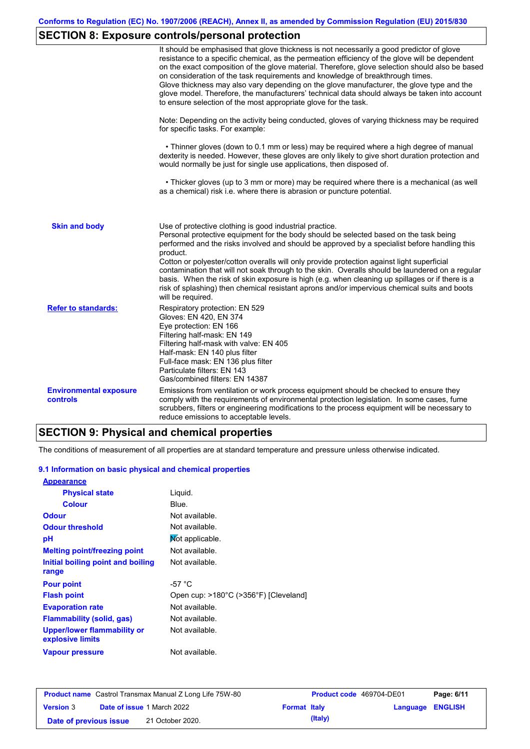# **SECTION 8: Exposure controls/personal protection**

|                                           | It should be emphasised that glove thickness is not necessarily a good predictor of glove<br>resistance to a specific chemical, as the permeation efficiency of the glove will be dependent<br>on the exact composition of the glove material. Therefore, glove selection should also be based<br>on consideration of the task requirements and knowledge of breakthrough times.<br>Glove thickness may also vary depending on the glove manufacturer, the glove type and the<br>glove model. Therefore, the manufacturers' technical data should always be taken into account<br>to ensure selection of the most appropriate glove for the task.                                     |
|-------------------------------------------|---------------------------------------------------------------------------------------------------------------------------------------------------------------------------------------------------------------------------------------------------------------------------------------------------------------------------------------------------------------------------------------------------------------------------------------------------------------------------------------------------------------------------------------------------------------------------------------------------------------------------------------------------------------------------------------|
|                                           | Note: Depending on the activity being conducted, gloves of varying thickness may be required<br>for specific tasks. For example:                                                                                                                                                                                                                                                                                                                                                                                                                                                                                                                                                      |
|                                           | • Thinner gloves (down to 0.1 mm or less) may be required where a high degree of manual<br>dexterity is needed. However, these gloves are only likely to give short duration protection and<br>would normally be just for single use applications, then disposed of.                                                                                                                                                                                                                                                                                                                                                                                                                  |
|                                           | • Thicker gloves (up to 3 mm or more) may be required where there is a mechanical (as well<br>as a chemical) risk i.e. where there is abrasion or puncture potential.                                                                                                                                                                                                                                                                                                                                                                                                                                                                                                                 |
| <b>Skin and body</b>                      | Use of protective clothing is good industrial practice.<br>Personal protective equipment for the body should be selected based on the task being<br>performed and the risks involved and should be approved by a specialist before handling this<br>product.<br>Cotton or polyester/cotton overalls will only provide protection against light superficial<br>contamination that will not soak through to the skin. Overalls should be laundered on a regular<br>basis. When the risk of skin exposure is high (e.g. when cleaning up spillages or if there is a<br>risk of splashing) then chemical resistant aprons and/or impervious chemical suits and boots<br>will be required. |
| <b>Refer to standards:</b>                | Respiratory protection: EN 529<br>Gloves: EN 420, EN 374<br>Eye protection: EN 166<br>Filtering half-mask: EN 149<br>Filtering half-mask with valve: EN 405<br>Half-mask: EN 140 plus filter<br>Full-face mask: EN 136 plus filter<br>Particulate filters: EN 143<br>Gas/combined filters: EN 14387                                                                                                                                                                                                                                                                                                                                                                                   |
| <b>Environmental exposure</b><br>controls | Emissions from ventilation or work process equipment should be checked to ensure they<br>comply with the requirements of environmental protection legislation. In some cases, fume<br>scrubbers, filters or engineering modifications to the process equipment will be necessary to<br>reduce emissions to acceptable levels.                                                                                                                                                                                                                                                                                                                                                         |

## **SECTION 9: Physical and chemical properties**

The conditions of measurement of all properties are at standard temperature and pressure unless otherwise indicated.

#### **9.1 Information on basic physical and chemical properties**

| <b>Appearance</b>                               |                                       |
|-------------------------------------------------|---------------------------------------|
| <b>Physical state</b>                           | Liguid.                               |
| <b>Colour</b>                                   | Blue.                                 |
| <b>Odour</b>                                    | Not available.                        |
| <b>Odour threshold</b>                          | Not available.                        |
| рH                                              | Not applicable.                       |
| <b>Melting point/freezing point</b>             | Not available.                        |
| Initial boiling point and boiling               | Not available.                        |
| range                                           |                                       |
| <b>Pour point</b>                               | -57 $^{\circ}$ C                      |
| <b>Flash point</b>                              | Open cup: >180°C (>356°F) [Cleveland] |
| <b>Evaporation rate</b>                         | Not available.                        |
| <b>Flammability (solid, gas)</b>                | Not available.                        |
| Upper/lower flammability or<br>explosive limits | Not available.                        |
| <b>Vapour pressure</b>                          | Not available.                        |

| <b>Product name</b> Castrol Transmax Manual Z Long Life 75W-80 |  |                                   |                     | <b>Product code</b> 469704-DE01 |                         | Page: 6/11 |
|----------------------------------------------------------------|--|-----------------------------------|---------------------|---------------------------------|-------------------------|------------|
| <b>Version 3</b>                                               |  | <b>Date of issue 1 March 2022</b> | <b>Format Italy</b> |                                 | <b>Language ENGLISH</b> |            |
| Date of previous issue                                         |  | 21 October 2020.                  |                     | (Italy)                         |                         |            |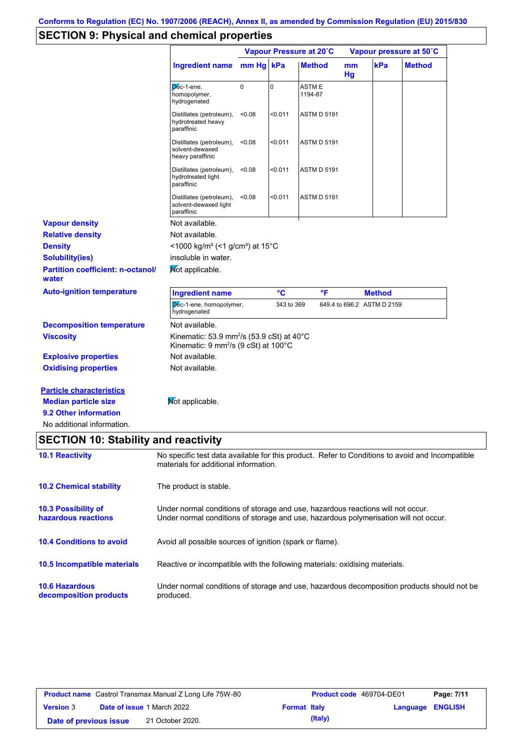# **SECTION 9: Physical and chemical properties**

|                                                                                                                       |                                                                                                                                                                         | Vapour Pressure at 20°C |                 |                    | Vapour pressure at 50°C |                            |               |
|-----------------------------------------------------------------------------------------------------------------------|-------------------------------------------------------------------------------------------------------------------------------------------------------------------------|-------------------------|-----------------|--------------------|-------------------------|----------------------------|---------------|
|                                                                                                                       | <b>Ingredient name</b>                                                                                                                                                  | mm Hg kPa               |                 | <b>Method</b>      | mm<br>Hg                | kPa                        | <b>Method</b> |
|                                                                                                                       | Dec-1-ene,<br>homopolymer,<br>hydrogenated                                                                                                                              | $\mathbf 0$             | $\mathbf 0$     | ASTM E<br>1194-87  |                         |                            |               |
|                                                                                                                       | Distillates (petroleum),<br>hydrotreated heavy<br>paraffinic                                                                                                            | < 0.08                  | $0.011$         | ASTM D 5191        |                         |                            |               |
|                                                                                                                       | Distillates (petroleum),<br>solvent-dewaxed<br>heavy paraffinic                                                                                                         | < 0.08                  | < 0.011         | <b>ASTM D 5191</b> |                         |                            |               |
|                                                                                                                       | Distillates (petroleum),<br>hydrotreated light<br>paraffinic                                                                                                            | < 0.08                  | $0.011$         | <b>ASTM D 5191</b> |                         |                            |               |
|                                                                                                                       | Distillates (petroleum),<br>solvent-dewaxed light<br>paraffinic                                                                                                         | < 0.08                  | $0.011$         | ASTM D 5191        |                         |                            |               |
| <b>Vapour density</b>                                                                                                 | Not available.                                                                                                                                                          |                         |                 |                    |                         |                            |               |
| <b>Relative density</b>                                                                                               | Not available.                                                                                                                                                          |                         |                 |                    |                         |                            |               |
| <b>Density</b>                                                                                                        | <1000 kg/m <sup>3</sup> (<1 g/cm <sup>3</sup> ) at 15°C                                                                                                                 |                         |                 |                    |                         |                            |               |
| <b>Solubility(ies)</b>                                                                                                | insoluble in water.                                                                                                                                                     |                         |                 |                    |                         |                            |               |
| <b>Partition coefficient: n-octanol/</b><br>water                                                                     | Mot applicable.                                                                                                                                                         |                         |                 |                    |                         |                            |               |
| <b>Auto-ignition temperature</b>                                                                                      | <b>Ingredient name</b>                                                                                                                                                  |                         | $\rm ^{\circ}C$ | °F                 |                         | <b>Method</b>              |               |
|                                                                                                                       | Dec-1-ene, homopolymer,<br>hydrogenated                                                                                                                                 |                         | 343 to 369      |                    |                         | 649.4 to 696.2 ASTM D 2159 |               |
| <b>Decomposition temperature</b>                                                                                      | Not available.                                                                                                                                                          |                         |                 |                    |                         |                            |               |
| <b>Viscosity</b>                                                                                                      | Kinematic: 53.9 mm <sup>2</sup> /s (53.9 cSt) at $40^{\circ}$ C<br>Kinematic: 9 mm <sup>2</sup> /s (9 cSt) at 100°C                                                     |                         |                 |                    |                         |                            |               |
| <b>Explosive properties</b>                                                                                           | Not available.                                                                                                                                                          |                         |                 |                    |                         |                            |               |
| <b>Oxidising properties</b>                                                                                           | Not available.                                                                                                                                                          |                         |                 |                    |                         |                            |               |
| <b>Particle characteristics</b><br><b>Median particle size</b><br>9.2 Other information<br>No additional information. | Mot applicable.                                                                                                                                                         |                         |                 |                    |                         |                            |               |
| <b>SECTION 10: Stability and reactivity</b>                                                                           |                                                                                                                                                                         |                         |                 |                    |                         |                            |               |
| <b>10.1 Reactivity</b>                                                                                                | No specific test data available for this product. Refer to Conditions to avoid and Incompatible<br>materials for additional information.                                |                         |                 |                    |                         |                            |               |
| <b>10.2 Chemical stability</b>                                                                                        | The product is stable.                                                                                                                                                  |                         |                 |                    |                         |                            |               |
| 10.3 Possibility of<br>hazardous reactions                                                                            | Under normal conditions of storage and use, hazardous reactions will not occur.<br>Under normal conditions of storage and use, hazardous polymerisation will not occur. |                         |                 |                    |                         |                            |               |
| <b>10.4 Conditions to avoid</b>                                                                                       | Avoid all possible sources of ignition (spark or flame).                                                                                                                |                         |                 |                    |                         |                            |               |
| 10.5 Incompatible materials                                                                                           | Reactive or incompatible with the following materials: oxidising materials.                                                                                             |                         |                 |                    |                         |                            |               |
| <b>10.6 Hazardous</b><br>decomposition products                                                                       | Under normal conditions of storage and use, hazardous decomposition products should not be<br>produced.                                                                 |                         |                 |                    |                         |                            |               |

| <b>Product name</b> Castrol Transmax Manual Z Long Life 75W-80 |  |                                   | <b>Product code</b> 469704-DE01 |         | Page: 7/11       |  |
|----------------------------------------------------------------|--|-----------------------------------|---------------------------------|---------|------------------|--|
| <b>Version 3</b>                                               |  | <b>Date of issue 1 March 2022</b> | <b>Format Italy</b>             |         | Language ENGLISH |  |
| Date of previous issue                                         |  | 21 October 2020.                  |                                 | (Italy) |                  |  |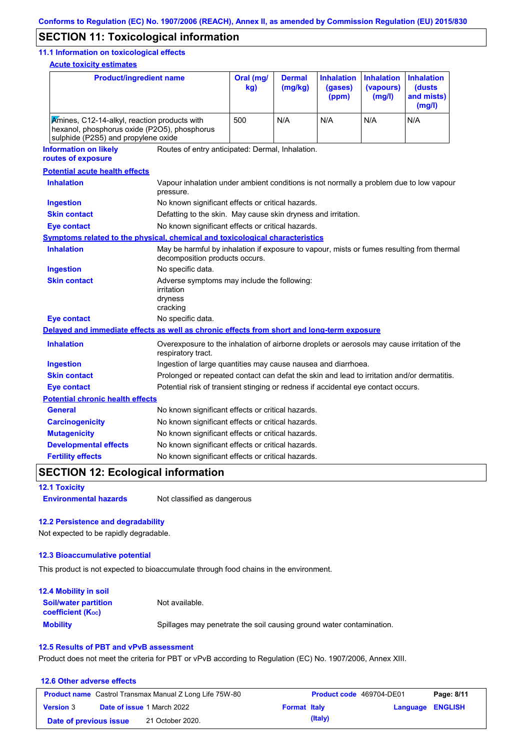## **SECTION 11: Toxicological information**

#### **11.1 Information on toxicological effects**

**Acute toxicity estimates**

| <b>Product/ingredient name</b>                                                                                                      |                                                                                                                   | Oral (mg/<br>kg)                                                                                                            | <b>Dermal</b><br>(mg/kg) | <b>Inhalation</b><br>(gases)<br>(ppm) | <b>Inhalation</b><br>(vapours)<br>(mg/l) | <b>Inhalation</b><br>(dusts<br>and mists)<br>(mg/l) |  |
|-------------------------------------------------------------------------------------------------------------------------------------|-------------------------------------------------------------------------------------------------------------------|-----------------------------------------------------------------------------------------------------------------------------|--------------------------|---------------------------------------|------------------------------------------|-----------------------------------------------------|--|
| Amines, C12-14-alkyl, reaction products with<br>hexanol, phosphorus oxide (P2O5), phosphorus<br>sulphide (P2S5) and propylene oxide | 500                                                                                                               | N/A                                                                                                                         | N/A                      | N/A                                   | N/A                                      |                                                     |  |
| <b>Information on likely</b><br>routes of exposure                                                                                  | Routes of entry anticipated: Dermal, Inhalation.                                                                  |                                                                                                                             |                          |                                       |                                          |                                                     |  |
| <b>Potential acute health effects</b>                                                                                               |                                                                                                                   |                                                                                                                             |                          |                                       |                                          |                                                     |  |
| <b>Inhalation</b>                                                                                                                   | Vapour inhalation under ambient conditions is not normally a problem due to low vapour<br>pressure.               |                                                                                                                             |                          |                                       |                                          |                                                     |  |
| <b>Ingestion</b>                                                                                                                    | No known significant effects or critical hazards.                                                                 |                                                                                                                             |                          |                                       |                                          |                                                     |  |
| <b>Skin contact</b>                                                                                                                 | Defatting to the skin. May cause skin dryness and irritation.                                                     |                                                                                                                             |                          |                                       |                                          |                                                     |  |
| <b>Eye contact</b>                                                                                                                  | No known significant effects or critical hazards.                                                                 |                                                                                                                             |                          |                                       |                                          |                                                     |  |
| <b>Symptoms related to the physical, chemical and toxicological characteristics</b>                                                 |                                                                                                                   |                                                                                                                             |                          |                                       |                                          |                                                     |  |
| <b>Inhalation</b>                                                                                                                   |                                                                                                                   | May be harmful by inhalation if exposure to vapour, mists or fumes resulting from thermal<br>decomposition products occurs. |                          |                                       |                                          |                                                     |  |
| <b>Ingestion</b>                                                                                                                    | No specific data.                                                                                                 |                                                                                                                             |                          |                                       |                                          |                                                     |  |
| <b>Skin contact</b>                                                                                                                 | irritation<br>dryness<br>cracking                                                                                 | Adverse symptoms may include the following:                                                                                 |                          |                                       |                                          |                                                     |  |
| <b>Eye contact</b>                                                                                                                  | No specific data.                                                                                                 |                                                                                                                             |                          |                                       |                                          |                                                     |  |
| Delayed and immediate effects as well as chronic effects from short and long-term exposure                                          |                                                                                                                   |                                                                                                                             |                          |                                       |                                          |                                                     |  |
| <b>Inhalation</b>                                                                                                                   | Overexposure to the inhalation of airborne droplets or aerosols may cause irritation of the<br>respiratory tract. |                                                                                                                             |                          |                                       |                                          |                                                     |  |
| <b>Ingestion</b>                                                                                                                    |                                                                                                                   | Ingestion of large quantities may cause nausea and diarrhoea.                                                               |                          |                                       |                                          |                                                     |  |
| <b>Skin contact</b>                                                                                                                 | Prolonged or repeated contact can defat the skin and lead to irritation and/or dermatitis.                        |                                                                                                                             |                          |                                       |                                          |                                                     |  |
| <b>Eye contact</b>                                                                                                                  | Potential risk of transient stinging or redness if accidental eye contact occurs.                                 |                                                                                                                             |                          |                                       |                                          |                                                     |  |
| <b>Potential chronic health effects</b>                                                                                             |                                                                                                                   |                                                                                                                             |                          |                                       |                                          |                                                     |  |
| <b>General</b>                                                                                                                      | No known significant effects or critical hazards.                                                                 |                                                                                                                             |                          |                                       |                                          |                                                     |  |
| <b>Carcinogenicity</b>                                                                                                              | No known significant effects or critical hazards.                                                                 |                                                                                                                             |                          |                                       |                                          |                                                     |  |
| <b>Mutagenicity</b>                                                                                                                 | No known significant effects or critical hazards.                                                                 |                                                                                                                             |                          |                                       |                                          |                                                     |  |
| <b>Developmental effects</b>                                                                                                        | No known significant effects or critical hazards.                                                                 |                                                                                                                             |                          |                                       |                                          |                                                     |  |
| <b>Fertility effects</b>                                                                                                            | No known significant effects or critical hazards.                                                                 |                                                                                                                             |                          |                                       |                                          |                                                     |  |

## **SECTION 12: Ecological information**

**12.1 Toxicity**

**Environmental hazards** Not classified as dangerous

#### **12.2 Persistence and degradability**

Not expected to be rapidly degradable.

#### **12.3 Bioaccumulative potential**

This product is not expected to bioaccumulate through food chains in the environment.

| <b>12.4 Mobility in soil</b>                            |                                                                      |
|---------------------------------------------------------|----------------------------------------------------------------------|
| <b>Soil/water partition</b><br><b>coefficient (Koc)</b> | Not available.                                                       |
| <b>Mobility</b>                                         | Spillages may penetrate the soil causing ground water contamination. |

#### **12.5 Results of PBT and vPvB assessment**

Product does not meet the criteria for PBT or vPvB according to Regulation (EC) No. 1907/2006, Annex XIII.

| 12.6 Other adverse effects |                                                                |                          |                         |  |  |
|----------------------------|----------------------------------------------------------------|--------------------------|-------------------------|--|--|
|                            | <b>Product name</b> Castrol Transmax Manual Z Long Life 75W-80 | Product code 469704-DE01 | Page: 8/11              |  |  |
| <b>Version 3</b>           | <b>Date of issue 1 March 2022</b>                              | <b>Format Italy</b>      | <b>Language ENGLISH</b> |  |  |
| Date of previous issue     | 21 October 2020.                                               | (Italy)                  |                         |  |  |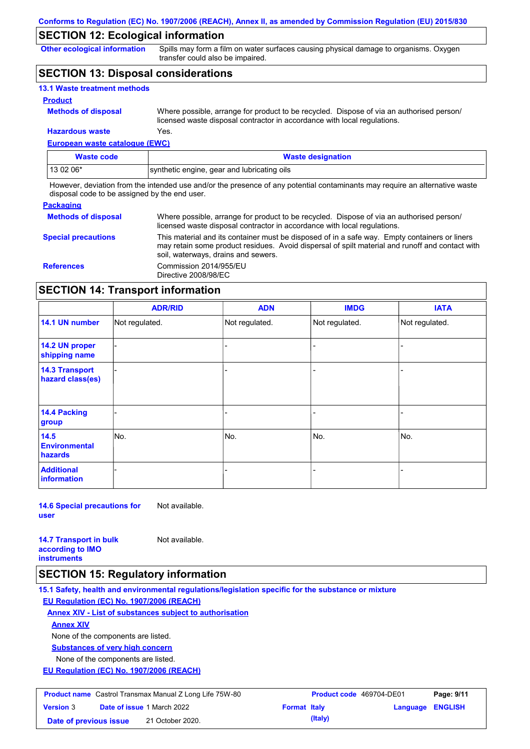## **SECTION 12: Ecological information**

**Other ecological information**

Spills may form a film on water surfaces causing physical damage to organisms. Oxygen transfer could also be impaired.

## **SECTION 13: Disposal considerations**

| <b>13.1 Waste treatment methods</b> |                                                                                                                                                                      |
|-------------------------------------|----------------------------------------------------------------------------------------------------------------------------------------------------------------------|
| <b>Product</b>                      |                                                                                                                                                                      |
| <b>Methods of disposal</b>          | Where possible, arrange for product to be recycled. Dispose of via an authorised person/<br>licensed waste disposal contractor in accordance with local regulations. |
| <b>Hazardous waste</b>              | Yes.                                                                                                                                                                 |

## **European waste catalogue (EWC)**

| <b>Waste code</b> | <b>Waste designation</b>                    |
|-------------------|---------------------------------------------|
| 13 02 06*         | synthetic engine, gear and lubricating oils |

However, deviation from the intended use and/or the presence of any potential contaminants may require an alternative waste disposal code to be assigned by the end user.

#### **Packaging**

| <b>Methods of disposal</b> | Where possible, arrange for product to be recycled. Dispose of via an authorised person/<br>licensed waste disposal contractor in accordance with local regulations.                                                                    |
|----------------------------|-----------------------------------------------------------------------------------------------------------------------------------------------------------------------------------------------------------------------------------------|
| <b>Special precautions</b> | This material and its container must be disposed of in a safe way. Empty containers or liners<br>may retain some product residues. Avoid dispersal of spilt material and runoff and contact with<br>soil, waterways, drains and sewers. |
| <b>References</b>          | Commission 2014/955/EU<br>Directive 2008/98/EC                                                                                                                                                                                          |

## **SECTION 14: Transport information**

|                                           | <b>ADR/RID</b> | <b>ADN</b>     | <b>IMDG</b>    | <b>IATA</b>    |
|-------------------------------------------|----------------|----------------|----------------|----------------|
| 14.1 UN number                            | Not regulated. | Not regulated. | Not regulated. | Not regulated. |
| 14.2 UN proper<br>shipping name           |                |                |                |                |
| <b>14.3 Transport</b><br>hazard class(es) |                |                | -              |                |
| 14.4 Packing<br>group                     |                |                |                |                |
| 14.5<br><b>Environmental</b><br>hazards   | No.            | No.            | No.            | No.            |
| <b>Additional</b><br>information          |                |                | -              |                |

**14.6 Special precautions for user** Not available.

**14.7 Transport in bulk according to IMO** 

Not available.

**instruments**

## **SECTION 15: Regulatory information**

**15.1 Safety, health and environmental regulations/legislation specific for the substance or mixture**

**EU Regulation (EC) No. 1907/2006 (REACH)**

**Annex XIV - List of substances subject to authorisation**

**Annex XIV**

None of the components are listed.

**Substances of very high concern**

None of the components are listed.

**EU Regulation (EC) No. 1907/2006 (REACH)**

| <b>Product name</b> Castrol Transmax Manual Z Long Life 75W-80 |  | <b>Product code</b> 469704-DE01   |                     | Page: 9/11 |                         |  |
|----------------------------------------------------------------|--|-----------------------------------|---------------------|------------|-------------------------|--|
| <b>Version 3</b>                                               |  | <b>Date of issue 1 March 2022</b> | <b>Format Italy</b> |            | <b>Language ENGLISH</b> |  |
| Date of previous issue                                         |  | 21 October 2020.                  |                     | (Italy)    |                         |  |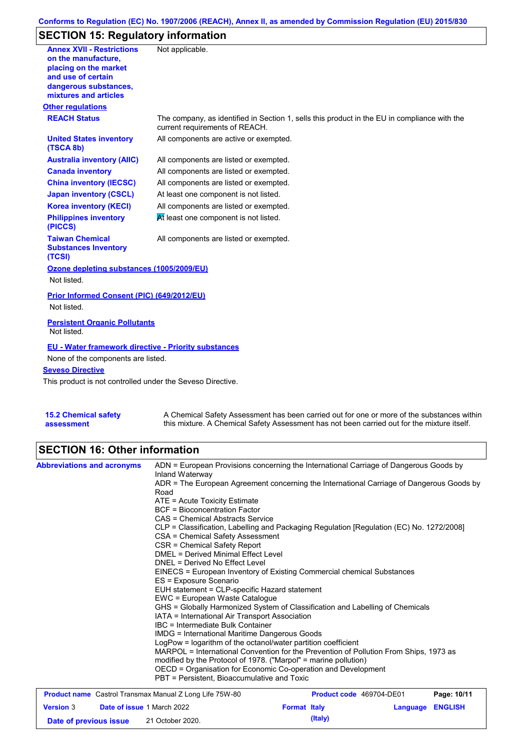### **Conforms to Regulation (EC) No. 1907/2006 (REACH), Annex II, as amended by Commission Regulation (EU) 2015/830**

# **SECTION 15: Regulatory information**

| <b>Annex XVII - Restrictions</b><br>on the manufacture.<br>placing on the market<br>and use of certain<br>dangerous substances, | Not applicable.                                                                                                                |
|---------------------------------------------------------------------------------------------------------------------------------|--------------------------------------------------------------------------------------------------------------------------------|
| mixtures and articles                                                                                                           |                                                                                                                                |
| <b>Other regulations</b>                                                                                                        |                                                                                                                                |
| <b>REACH Status</b>                                                                                                             | The company, as identified in Section 1, sells this product in the EU in compliance with the<br>current requirements of REACH. |
| <b>United States inventory</b><br>(TSCA 8b)                                                                                     | All components are active or exempted.                                                                                         |
| <b>Australia inventory (AIIC)</b>                                                                                               | All components are listed or exempted.                                                                                         |
| <b>Canada inventory</b>                                                                                                         | All components are listed or exempted.                                                                                         |
| <b>China inventory (IECSC)</b>                                                                                                  | All components are listed or exempted.                                                                                         |
| <b>Japan inventory (CSCL)</b>                                                                                                   | At least one component is not listed.                                                                                          |
| <b>Korea inventory (KECI)</b>                                                                                                   | All components are listed or exempted.                                                                                         |
| <b>Philippines inventory</b><br>(PICCS)                                                                                         | At least one component is not listed.                                                                                          |
| <b>Taiwan Chemical</b><br><b>Substances Inventory</b><br>(TCSI)                                                                 | All components are listed or exempted.                                                                                         |
| Ozone depleting substances (1005/2009/EU)                                                                                       |                                                                                                                                |
| Not listed.                                                                                                                     |                                                                                                                                |
| Prior Informed Consent (PIC) (649/2012/EU)                                                                                      |                                                                                                                                |
| Not listed.                                                                                                                     |                                                                                                                                |
| <b>Persistent Organic Pollutants</b><br>Not listed.                                                                             |                                                                                                                                |
| <b>EU - Water framework directive - Priority substances</b>                                                                     |                                                                                                                                |
| None of the components are listed.                                                                                              |                                                                                                                                |
| <b>Seveso Directive</b>                                                                                                         |                                                                                                                                |
| This product is not controlled under the Seveso Directive.                                                                      |                                                                                                                                |
|                                                                                                                                 |                                                                                                                                |
| <b>15.2 Chemical safety</b>                                                                                                     | A Chemical Safety Assessment has been carried out for one or more of the substances within                                     |

this mixture. A Chemical Safety Assessment has not been carried out for the mixture itself.

## **SECTION 16: Other information**

**assessment**

| <b>Abbreviations and acronyms</b>                              | ADN = European Provisions concerning the International Carriage of Dangerous Goods by<br>Inland Waterway                                                                                                                                                                                                                                                                                                                                    |                          |          |                |  |                                             |  |
|----------------------------------------------------------------|---------------------------------------------------------------------------------------------------------------------------------------------------------------------------------------------------------------------------------------------------------------------------------------------------------------------------------------------------------------------------------------------------------------------------------------------|--------------------------|----------|----------------|--|---------------------------------------------|--|
|                                                                | ADR = The European Agreement concerning the International Carriage of Dangerous Goods by<br>Road                                                                                                                                                                                                                                                                                                                                            |                          |          |                |  |                                             |  |
|                                                                | $ATE =$ Acute Toxicity Estimate                                                                                                                                                                                                                                                                                                                                                                                                             |                          |          |                |  |                                             |  |
|                                                                | <b>BCF</b> = Bioconcentration Factor                                                                                                                                                                                                                                                                                                                                                                                                        |                          |          |                |  |                                             |  |
|                                                                | CAS = Chemical Abstracts Service                                                                                                                                                                                                                                                                                                                                                                                                            |                          |          |                |  |                                             |  |
|                                                                | CLP = Classification, Labelling and Packaging Regulation [Regulation (EC) No. 1272/2008]<br>CSA = Chemical Safety Assessment                                                                                                                                                                                                                                                                                                                |                          |          |                |  |                                             |  |
|                                                                | CSR = Chemical Safety Report                                                                                                                                                                                                                                                                                                                                                                                                                |                          |          |                |  |                                             |  |
|                                                                | <b>DMEL = Derived Minimal Effect Level</b><br>DNEL = Derived No Effect Level<br>EINECS = European Inventory of Existing Commercial chemical Substances<br>ES = Exposure Scenario<br>EUH statement = CLP-specific Hazard statement<br>EWC = European Waste Catalogue<br>GHS = Globally Harmonized System of Classification and Labelling of Chemicals<br>IATA = International Air Transport Association<br>IBC = Intermediate Bulk Container |                          |          |                |  |                                             |  |
|                                                                |                                                                                                                                                                                                                                                                                                                                                                                                                                             |                          |          |                |  |                                             |  |
|                                                                |                                                                                                                                                                                                                                                                                                                                                                                                                                             |                          |          |                |  |                                             |  |
|                                                                |                                                                                                                                                                                                                                                                                                                                                                                                                                             |                          |          |                |  |                                             |  |
|                                                                |                                                                                                                                                                                                                                                                                                                                                                                                                                             |                          |          |                |  |                                             |  |
|                                                                |                                                                                                                                                                                                                                                                                                                                                                                                                                             |                          |          |                |  |                                             |  |
|                                                                |                                                                                                                                                                                                                                                                                                                                                                                                                                             |                          |          |                |  |                                             |  |
|                                                                |                                                                                                                                                                                                                                                                                                                                                                                                                                             |                          |          |                |  |                                             |  |
|                                                                |                                                                                                                                                                                                                                                                                                                                                                                                                                             |                          |          |                |  |                                             |  |
|                                                                | <b>IMDG</b> = International Maritime Dangerous Goods                                                                                                                                                                                                                                                                                                                                                                                        |                          |          |                |  |                                             |  |
|                                                                | LogPow = logarithm of the octanol/water partition coefficient                                                                                                                                                                                                                                                                                                                                                                               |                          |          |                |  |                                             |  |
|                                                                | MARPOL = International Convention for the Prevention of Pollution From Ships, 1973 as<br>modified by the Protocol of 1978. ("Marpol" = marine pollution)<br>OECD = Organisation for Economic Co-operation and Development                                                                                                                                                                                                                   |                          |          |                |  |                                             |  |
|                                                                |                                                                                                                                                                                                                                                                                                                                                                                                                                             |                          |          |                |  |                                             |  |
|                                                                |                                                                                                                                                                                                                                                                                                                                                                                                                                             |                          |          |                |  | PBT = Persistent, Bioaccumulative and Toxic |  |
| <b>Product name</b> Castrol Transmax Manual Z Long Life 75W-80 |                                                                                                                                                                                                                                                                                                                                                                                                                                             | Product code 469704-DE01 |          | Page: 10/11    |  |                                             |  |
| <b>Version 3</b><br><b>Date of issue 1 March 2022</b>          |                                                                                                                                                                                                                                                                                                                                                                                                                                             | <b>Format Italy</b>      | Language | <b>ENGLISH</b> |  |                                             |  |

**Date of previous issue** 21 October 2020.